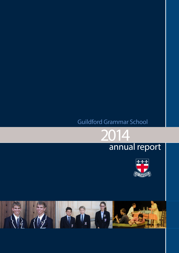# Guildford Grammar School





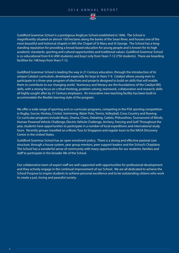

Guildford Grammar School is a prestigious Anglican School established in 1896. The School is magnificently situated on almost 100 hectares along the banks of the Swan River, and houses one of the most beautiful and historical chapels in WA; the Chapel of St Mary and St George. The School has a longstanding reputation for providing a broad-based education for young people and is known for its high academic standards, sporting and cultural opportunities and traditional values. Guildford Grammar School is co-educational from K-6 (490 students) and boys' only from Years 7-12 (750 students). There are boarding facilities for 148 boys from Years 7-12.

Guildford Grammar School is leading the way in 21 Century education, through the introduction of its unique Catalyst curriculum, developed especially for boys in Years 7-9. Catalyst allows young men to participate in a three-year program of electives and projects designed to build on skills that will enable them to contribute to our changing world. Numeracy and literacy are the foundations of the Catalyst BIG skills, with a strong focus on critical thinking, problem solving, teamwork, collaboration and research; skills all highly sought after by 21 Century employers. An innovative new teaching facility has been built to accommodate the flexible learning style of the program.

We offer a wide range of sporting and co-curricular programs, competing in the PSA sporting competition in Rugby, Soccer, Hockey, Cricket, Swimming, Water Polo, Tennis, Volleyball, Cross Country and Rowing. Co-curricular programs include Music, Drama, Chess, Debating, Cadets, Philosothon, Tournament of Minds, Human Powered Vehicle Challenge, Electric Vehicle Challenge, Archery, Fencing and Golf. Throughout the year, students have opportunities to participate in a number of local expeditions and international study tours. Recently groups travelled on a Music Tour to Singapore and regular tours to the NASA Discovery Centre in the United States.

Guildford Grammar School has an open enrolment policy. There is a strong and effective pastoral care structure, through a house system, year group mentors, peer support leaders and the School's Chaplains. The School has a wonderful sense of community with many opportunities for our students, families and staff to participate in the broader life of the School.

Our collaborative team of expert staff are well supported with opportunities for professional development and they actively engage in the continual improvement of our School. We are all dedicated to achieve the School Purpose to inspire students to achieve personal excellence and to be outstanding citizens who work to create a just, loving and peaceful society.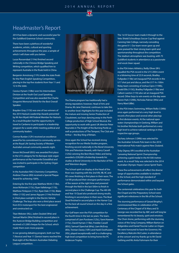

# Headmaster's Report

2014 has been a dynamic and successful year for the Guildford Grammar School community.

There have been a plethora of wonderful academic, artistic, cultural and sporting achievements throughout the year, a sample of which I will share with you below.

Lucas Roosendaal (11He) finished second nationally in the Chinese Bridge Speaking and Writing competition, which qualified him to represent Australia in the finals held in China.

Benjamin Armstrong (11Fr) made the state finals for the Plain English Speaking Competition, placing in the top five students from Year 11 and 12 in the state.

Cassius Hynam (10Be) won his Intermediate Division at the Youth Out Loud Speaking Competition and was also awarded the Charlie Gregorini Memorial Shield for the Best Overall Speaker.

Brayden Gray (11St) was one of two winners of the 2014 Hasluck Leadership Awards presented by Mr Ken Wyatt AM Federal Member for Hasluck. As a result Brayden had the opportunity to travel to Canberra to participate in a leadership program for a week whilst meeting political and community leaders.

Connor Burdan (12Fr) received an excellence award for his commitment to community service at the Royal Life Saving Society of Western Australia's annual community awards night.

Simon McDowall (8SG) was awarded first place in the U15 category for his Baroque style organ performance at the Fremantle Eisteddfod and was invited to participate in the Sydney Organ competition

In the Australian RACI Chemistry Competition, Andrew Chance (8St) received a Special Plaque Award for achieving 100%.

Entering for the first year Matthew Wirth (11Be), Jesse McKenzie (11Sc), Ryan Vallelonga (11St), Matthew Finlayson (11Sc), Ryan Dale (11St), Blake Hillier (11SG) and James Nguyen (11He) finished in third place outright in the Electric Vehicle Challenge. The boys also won a third place award from ECU motorsport for the best engineered and constructed car.

Titan Webster (9Sc), Jaden Dzubiel (9He) and Samuel Martin (9He) finished in second place in the Aurecon Bridge Building competition and received a \$1,000 cheque for the School, which made them even more popular.

In our growing debating program, both our Year 7 (Novice) and Year 11 (Senior) teams reached the final eight of the Western Australian Debating League competition.



The Drama program has traditionally had a strong reputation; however, Head of Arts and Drama, Ms Jane Diamond, continues to take this to another level. Highlights for this year included the mature and moving Senior Production of Cloudstreet, our boys dancing away in the Perth College production of High School Musical, the opportunity to work with guest UK director Peter Reynolds in The Knight of the Burning Pestle as well as productions of The Tempest, The Club and Arthur – the Boy King of Britain.

Once again the School has received strong recognition for our Media Studies program, finishing second nationally in the Bond University Film and Television Awards, with Harry Cassell (12SG) winning the Best Music Video and being awarded a \$30,000 scholarship towards his studies at Bond University in the Bachelor of Film and Television degree.

The School spirit on display at the Head of the River was inspiring with the 2nd VIII, 9B, 9C and 9D crews finishing in first place in their races. The 1st VIII produced their strongest performance of the season at the right time and powered through the field in the last 500m to finish in second place in the Challenge Cup. The 4th VIII and Year 10 Quad also produced strong results, finishing in second place in their races. The Boat Shed finished in second place in the Hamer Cup for the best all-round School on the day in a fine achievement.

Our Golf team won the PSA competition for the fourth time in the last six years. The team, comprised of Liam Purslowe (12Sc), Yanni Keenan (11Sc), David Hyman (11Be), Freddie Cassell (8SG), Samuel Operchal (8Ha), Liam McEvoy (8St), Trentan Davey (10Fr) and Hardi Oosthuizen (9St), played exceptionally well in a challenging, high level competition to bring home the PC Anderson Trophy.

The 1st XI Soccer team made it through to the Veto Shield Schoolboys Soccer Cup final against Canning Vale College, narrowly conceding the game 0-1. Our team never gave up and were praised for their strong team spirit and sportsmanship throughout the competition. The stadium atmosphere was buzzing, with 75 Guildford students in attendance as a passionate and vocal cheer squad.

In the PSA Inters Athletics, Reilly Oliver (9Fr) equalled the PSA record in the U15 200m event in a blistering time of 23.9 seconds, Bradley Fullgrabe (11Be) set inaugural PSA records in the U17 shot put and discus, and the U17 4 x 100m Relay team consisting of Joshua Cipro (11Wb), Ewald Ellis (11SG), Bradley Fullgrabe (11Be) and Callum Lawton (11St) also set an inaugural PSA record. Other boys to win events on the day were Kieren Park (12Wb), Nicholas Palmer (9He) and Harry Ward (8Be).

In the PSA Inters Swimming, William Rollo (12Wb) once again performed at a very high level to record a first place and several other placings in first division events. At the national open water championships in Geelong, William and his brother Nicholas both performed at a very high level to achieve national rankings in their respective age groups.

Zachary Johnson (12Wb) was selected for the Australian Schools Polo team in the 2014 International Polo match against New Zealand.

Toby Digney (9Fr) excelled at the Australian Canoeing National Sprint Championship achieving a gold medal in the K4 500 metres event. As a result Toby was selected in the 2014 Australian Olympic Hopes Canoe Sprint Team.

These fine achievements all reflect the diverse range of opportunities available to students in the School, and the high standard of performance demonstrated within and beyond the School gates.

The centennial celebrations this year for both the Chapel and the Preparatory School were significant milestones in the life of the School.

The stunning performance of Gerard Brophy's commissioned Mass in celebration of the Centenary of the Chapel of St Mary and St George was recorded live by ABC and will long be remembered for its beauty, spirit and emotion. The Choir shone, performing with the stunning voices of the Song Company, William Barton on didgeridoo and Daniel Trocmé-Latter on Organ. We were honoured to have the Governor, His Excellency Malcolm McCusker, in attendance at the concert and my thanks go to Mr David Gething and Ms Anita Fuhrmann for their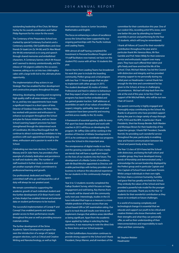outstanding leadership of the Choir, Mr Kieran Hurley for his overall coordination and Father Philip Raymont for his vision for the event.

The Centenary of the Preparatory School was marked by special Centenary Eucharists and a Centenary assembly. Old Guildfordians and close friends Dr Izaak Lim (Sc 94-06) and Dr Alex Wood (He 94-06) entertained us in song and speech through shared memories and embellished characters. A Centenary banner, which Mr Krause and I seemed to destroy unintentionally, and the release of 100 pigeons added to the occasion; however, asking us to cut into two child-replica cakes with a large knife led to the ultimate photo opportunity.

The implementation of key actions in our Strategic Plan has enabled further development and constructive progress throughout the year:

Attracting, developing, retaining and recognising high quality staff in all areas remains a focus for us, and key new appointments have made a significant impact in a short space of time. Director of Outdoor Education, Mr Peter Ashby, has worked with passion and enthusiasm to enhance our program throughout the School and plan for future initiatives, and our Senior School Learning Support provision has been strengthened through the determined work of Coordinator, Ms Ulissa MacDougall-Hull. We continue to attract outstanding candidates to key positions with each appointment bringing new ideas, enthusiasm and a passion to work in the School.

Celebrating our new twin doctors, Dr Clayton Massey and Dr Julie Harris, has provided a fine example of scholarly dedication and persistence to staff and students alike. The number of staff involved in further study is extensive and yet another example of their commitment to professional learning and growth.

Our professional, dedicated and highly committed staff who go well beyond the call of duty will always be our greatest asset.

We remain committed to supporting the academic growth of each individual student and the further development of Dr Brian Hunt's work as Data Analyst has enabled internal and external data on student performance to be tracked.

The successful implementation of Conegt P and Coneqt S has enabled parents and students greater access to their performance results throughout the year as well as providing resource materials online.

The further development of the Strive Academic Talent Development program has seen the introduction of a range of Catalyst program electives, such as Critical and Creative Writing and Nanotechnology, as well as high

level extension classes in Junior Secondary Mathematics and English.

The focus on enhancing a culture of excellence across the School has been supported by our ongoing partnerships with The Pacific Institute and Leading Teams.

With almost all staff having completed the Investment in Personal Excellence Program and 19 staff facilitators now trained, we have run the student PX2 course with all Year 10 students this year.

Darren Harris from Leading Teams has broadened his work this year to include the boarding community, Prefect group and a trial program with two Year 11 House groups that we plan to implement with other groups in 2015. The student developed 3G motto of United, Professional and Hard in relation to behaviours that they expect of each other in our sporting programs has been further embedded and has gained greater traction. Staff addresses at assemblies on each of our values of excellence, respect, integrity, spirituality, team-work and compassion have been powerful and moving and link across readily to the 3G motto.

A framework of essential sporting skills for every PSA sport has been developed and work with coaches in 2015 will focus on developing this program. Mr Jeffrey Giles will be working in the position of Director of Athlete Development in 2015 as he continues to coordinate our programs across the School in this important area.

The omnipresence of digital media in our lives and the growing corporate use of trans-media are trends that will have a significant impact on the lives of our students into the future. The development of a Media Centre of excellence, with Mr Brad Minchin appointed as Director, will enable partnerships with tertiary providers and business to enhance the educational experience for our students in this continuously changing space.

Year 6 to 12 students recently completed the Gallup Student Survey, which focuses on hope, engagement and well-being. Key themes from the results will be shared with the community early next year. Interestingly, studies in the US have indicated that hope as a measure is a more reliable predictor of future success than any school based GPA or SAT examination rating. Our goal is to track the poll results over time as we implement changes that address areas identified as being significant. Apart from the academic rigour applied by Gallup in selecting the key questions, it was reassuring to note the direct link to these items and our School purpose.

The Old Guildfordians Association continues to provide strong support to the School and I thank President, Denys Warren, and all members of the

committee for their contribution this year. One of our coolest OGs, recording artist N'Fa Jones, went one better this year by attending our leavers' assembly in person and performing for the Year 12 students, which will long be remembered.

I thank all Fellows of Council for their wonderful contribution throughout the year and in particular thank Mrs Vanessa Moss, Mr Ron Gamble and Prof. Helen Wildy for their extensive service and enthusiastic support over many years. They have each offered their talent and gifts freely and have enriched the life of the School. Chair, Michael Abbott, has led the Council with distinction and integrity and has provided amazing support to me personally during my initial years as Headmaster. I cannot thank him enough for the time and commitment he has given to the School, at times in challenging circumstances. Michael will step back from the role at the end of this year, to be Vice-Chair in support of Mr Mitchell Wells, who will be our new Chair of Council.

Our parent community is highly engaged and thoroughly enjoy contributing to the School. My thanks to all parents who have provided support during the year in a large variety of ways through FOPS, FOSS and the BPA. In particular I thank Presidents, Sheri-lee Knoop-Bender, Ruth Warden and Monique Brown for their leadership of the respective groups. I thank P&F President, Danielle Norrish, for providing such wonderful service throughout the year, particularly in enabling clear and honest communication between the School and parent body at key times.

The Year 12 class of 2014 have led the School with distinction, and being the half-cohort and a smaller group, they have developed strong bonds of friendship and demonstrated unity. I acknowledge the servant leadership displayed by the Prefect group and in particular Captain and Vice-Captain of School Fraser and Gavin Pensini. Whilst unique individuals in their own right, the boys share a common humanity, humility and grace that has greatly enriched the School. They embody the values of the School and have provided a powerful role model for the younger students to emulate. Thank you to the Year 12 students for their wonderful contribution as they move on to embark on future challenges.

In a world of increasing complexity and technological change it is essential that we educate and support our youth to be critical and creative thinkers who know themselves well, their strengths and what they can personally offer, as well as their understanding of their interconnectedness and responsibility to each other and their community.

Mr Stephen Webber Headmaster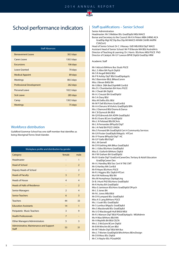

# School performance indicators

| <b>Staff Absences</b>           |            |  |  |
|---------------------------------|------------|--|--|
| <b>Bereavement Leave</b>        | 30.5 days  |  |  |
| Carers Leave                    | 130.5 days |  |  |
| <b>Excursions</b>               | 106 days   |  |  |
| Leave Granted                   | 70 days    |  |  |
| <b>Medical Appoint</b>          | 89 days    |  |  |
| <b>Meetings</b>                 | 80.5 days  |  |  |
| <b>Professional Development</b> | 262 days   |  |  |
| Personal Leave                  | 102.5 days |  |  |
| <b>Sick Leave</b>               | 285 days   |  |  |
| Camp                            | 130.5 days |  |  |
| <b>Meetings</b>                 | 75 days    |  |  |

#### Workforce distribution

Guildford Grammar School has one staff member that identifies as being Aboriginal/Torres Strait Islander.

| Workplace profile and distribution by gender     |                         |                          |
|--------------------------------------------------|-------------------------|--------------------------|
| Category                                         | female                  | male                     |
| Headmaster                                       |                         | 1                        |
| Head of School                                   |                         | $\overline{2}$           |
| <b>Deputy Heads of School</b>                    |                         | $\overline{\phantom{0}}$ |
| <b>Heads of Faculty</b>                          | 3                       | $\overline{7}$           |
| <b>Heads of House</b>                            | $\overline{4}$          | $\overline{4}$           |
| Heads of Halls of Residence                      |                         | $\overline{2}$           |
| <b>Senior Managers</b>                           | $\overline{2}$          | $\overline{4}$           |
| <b>Senior Teachers</b>                           | 6                       | $\overline{3}$           |
| <b>Teachers</b>                                  | 44                      | 33                       |
| <b>Education Assistants</b>                      | 14                      | $\mathbf{1}$             |
| Peripatetic Music Teachers                       | $\overline{\mathbf{3}}$ | 9                        |
| <b>Health Professionals</b>                      | $\overline{7}$          |                          |
| <b>Other Managers/Administrators</b>             | 5                       | 3                        |
| Administrative, Maintenance and Support<br>Staff | 53                      | 31                       |

# Staff qualifications – Senior School

#### Senior Administration

Headmaster: Mr S Webber BSc GradDipEd MEd MACE Bursar and Secretary to the Council: Mr K A Peters MBA (HRM) ACA GradDip Mgt NZ Dip Bus Dip MI MAICD AFAIM CAHRI AAIPM CSA(Cert)

Head of Senior School: Dr C J Massey EdD MEd BEd DipT MACE Assistant Head of Senior School: Mr P B Benzie MA BEd AssIndArts Director of Teaching & Learning: Dr J Harris BScHons MEd PGCE PhD Director of Catalyst: Mr G F Lawson BPHE DipEd GradDip HRM

#### Academic Staff

Mr I Adcock BAHons Bus Studs PGCE Ms L S Allen BA Psych DipEd Mr S R Angell BAEd BEd Mr P R Ashby DipT BEd GradDipAppSc Ms S Bannister BEd, BMassComm Miss J Bevan BAEd BA Mr G Blick DBA Bed DipHMR CertEd Mrs D J Chamberlain BA Hons PGCE Mr J Cheah BA DipEd Mr A J Creuzot BA GradDipEd Mr S A Davy BEd Miss M Delfos BSc BEd Mr M P Dell BScHons GradCertEd Mr A A Derums M VisArts GradDipEd BFA Mrs J Diamond BEd Drama & Dance Mr C B Dymock BA BEd Mr Q R Edmonds BA ADPA GradDipEd Mr B J Evans BCom GradDipEd Mrs L N Felstead BEd BCArts Mr L N Fernandes BPhysEd DipT Mr J A Field BA PGCE UNISA Mrs S Forward BA GradDipEd Cert 4 Community Services Mr G R Foster GradDipEd BAppSc HTCert Mr I P Frame BPhysEd DipT HC Mr G P Gallo BEd DipT Ms L M Gemell Mr D R Gething MA BMus GradDipEd Mr J J Giles BScHons GradDipEd Miss E J Goforth BAHons DipEd Mr V W Graham BA GradDipEd Ms B I Gratte DipT GradCertCareerDev, Tertiary & Adult Education GradDipCareer Dev Mr A J Handley BEd Sec Cert IV TAE CMT Mr G Hartley MA CertEd Mr R Heyes BScHons PGCE Mr R J Higgins BSc DipEd HTCert Ms K M Holloway BEd BA Mrs M Humphreys DipAppLing Dr B J Hunt PhD BScHons GradDipEd Mr K Hurley BA GradDipEd Miss G Jamieson BScHons GradDipEd DPsych Mr L S Jones BA Mr N L Jones MEd BEd Mr D R Lampard BSc GradDipEd Miss A S Lang BAHons PGCE Ms J J Leah BSc GradDipEd Mr S Lumbus BAppSc GradDipEd Mrs S Macdonald BSc GradDipEd Ms U O Macdougall-Hull BAEd MEd Mr R J Manson DipT BEd PGradDipAppSc MEdAdmin Ms H Mao BAHons BEd MA Mr A Mayhills BA BEd CELTA Mrs L S McGuire BCom DipEd Mr B M Minchin BCom BEd Mr MT Miolin DipT BEd MA Bus Mrs L T Morien GradDipEd BArchHons BEnvDesign Mr D B Moss BSc DipEd Mr C A Naylor BSc PGradHDE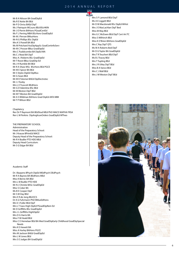Mr B A Nilsson BA GradDipEd Ms R E Notte BA BEd Mr P D Orriss BAEd DipT Ms J Patriquin MCouns BEd BScHKIN Mr J O Perrin BAHons PGradCertEd Ms F L Perring MBA BScHons GradDipEd Mr M J Pervan BMusHons Mr N G Phillips BSc DipEd Mrs K S Powell BA BEd Ms M Pritchard AssDipAppSc GradCertinfoServ Mr M C Prosser BBus GradDipEd Mrs C Puddicombe BA DipEd MA Ms C J Reed BA DipT Miss A J Roberts BSc GradDipEd Mr T Roost BBus GradDip Ed Ms J H Rumble BA BEd Mr R A Shaw MSc BScHons BEd PGCE Mr M E Spicer BA BEd Mr S Styles DipEd DipMus Mr G Swan BEd Mr M K Tolomei BAEd DipElectrotec Mr J J Tooby Mrs L E Truscott BEdHons Mr G D Valentine BSc BEd Mr M Weston DipT BEd Mr M T Weston BA GradDipEd Mr A S Wildman BAHons Grad DipEd AIFA MBII Mr T P Wilson BEd

Chaplaincy Rev Dr P Raymont BA BEdStud MEd PhD MACE MAPHA FRSA Rev L M Perkins DipAnglicanOrders GradDipEd MTheo

THE PREPARATORY SCHOOL Administration Head of the Preparatory School: Mr J Krause BPrimEd MACE Deputy Head of the Preparatory School: Mr R H Budler PTD HDE MEd Deputy Head Curriculum: Mr S G Edgar BA BEd

#### Academic Staff

Dr J Baayens BPsych DipEd MEdPsych DEdPsych Mr R A Baynes BA BEdHons MEd Miss K Bernic BA BEd Mrs L M Budler PTD HDE Mr N J Christie BASc GradDipEd Miss S Coker BA Ms B E Cooper DipT Mr S M Day BEd Mrs E R de Jong BEd ECS Dr A G Fuhrmann PhD BMusEdHons Mrs V J Fuller BEd DipT Mrs L T Gass High DipEd PGradDipRem Ed Mr D Griffiths BSc GradDipEd Mrs J L Griffiths HighDipEd Mrs D G Harris BA Miss F M Heald BEd Miss C E Hemelaar BEd BA Med GradDipEarly Childhood GradDipSpecial Needs Mrs K E Hewett BA Miss A Hurley BAHons PGCE Mrs M Jackson BAEd GradDipEd Mrs L M Jones BEd Mrs S E Judges BA GradDipEd

Mrs S F Lamond BEd DipT Ms A E Liggett BEd Mr D M Macdonald BSc DipEd MHist Mrs J E MacLachlan DipT Bed Miss M May BEd Mrs G C McEwen BEd DipT Cert Art TC Miss S Milhinch BEd Miss K O'Brien BAHons GradDipEd Mrs C Ray DipT QTS Ms M A Roberts Bed DipT Mr D G Taylor BA GradDipEd Mrs T R Teuchert BEd DipT Ms B J Tracey BEd Mrs T Tupling BEd Mrs J R Utley DipT BEd Miss B A Vance BEd Mrs C J Wall BEd Mrs J M Weston DipT BEd

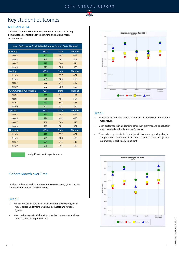

# Key student outcomes

# NAPLAN 2014

Guildford Grammar School's mean performance across all testing domains for all cohorts is above both state and national mean performances.

| Mean Performance for Guildford Grammar School, State, National |     |              |                 |
|----------------------------------------------------------------|-----|--------------|-----------------|
| Reading                                                        | GGS | <b>State</b> | <b>National</b> |
| Year <sub>3</sub>                                              | 455 | 407          | 418             |
| Year 5                                                         | 543 | 492          | 501             |
| Year 7                                                         | 578 | 544          | 546             |
| Year 9                                                         | 611 | 585          | 580             |
| Writing                                                        | GGS | <b>State</b> | National        |
| Year 3                                                         | 426 | 397          | 402             |
| Year 5                                                         | 505 | 465          | 468             |
| Year 7                                                         | 532 | 514          | 512             |
| Year 9                                                         | 582 | 560          | 550             |
| <b>Grammar and Punctuation</b>                                 | GGS | <b>State</b> | <b>National</b> |
| Year <sub>3</sub>                                              | 455 | 413          | 426             |
| Year 5                                                         | 535 | 495          | 504             |
| Year 7                                                         | 570 | 543          | 543             |
| Year 9                                                         | 600 | 574          | 574             |
| Spelling                                                       | GGS | <b>State</b> | <b>National</b> |
| Year 3                                                         | 426 | 403          | 412             |
| Year 5                                                         | 524 | 492          | 498             |
| Year 7                                                         | 558 | 543          | 545             |
| Year 9                                                         | 590 | 582          | 582             |
| Numeracy                                                       | GGS | <b>State</b> | <b>National</b> |
| Year 3                                                         | 472 | 392          | 402             |
| Year 5                                                         | 529 | 480          | 488             |
| Year 7                                                         | 594 | 545          | 546             |
| Year 9                                                         | 628 | 591          | 588             |

= significant positive performance

# Cohort Growth over Time

Analysis of data for each cohort over time reveals strong growth across almost all domains for each year group

#### Year 3

- Whilst comparison data is not available for this year group, mean results across all domains are above both state and national figures.
- Mean performance in all domains other than numeracy are above similar school mean performance.



#### Year 5

- Year 5 GGS mean results across all domains are above state and national mean results.
- Mean performance in all domains other than grammar and punctuation are above similar school mean performance.
- There exists a greater trajectory of growth in numeracy and spelling in comparison to state, national and similar school data. Positive growth in numeracy is particularly significant.

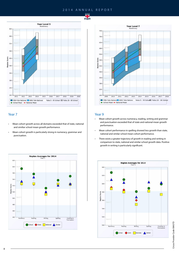



### Year 7

- Mean cohort growth across all domains exceeded that of state, national and similiar school mean growth performance.
- Mean cohort growth is particularly strong in numeracy, grammar and punctuation.





### Year 9

- Mean cohort growth across numeracy, reading, writing and grammar and punctuation exceeded that of state and national mean growth performance.
- Mean cohort performance in spelling showed less growth than state, national and similar school mean cohort performance.
- There exists a greater trajectory of growth in reading and writing in comparison to state, national and similar school growth data. Positive growth in writing is particularly significant.

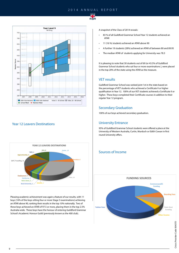



# Year 12 Leavers Destinations



Pleasing academic achievement was again a feature of our results, with 11 boys (16% of the boys sitting four or more Stage 3 examinations) achieving an ATAR above 90, ranking their results in the top 10% nationally. Two of these boys achieved an ATAR of 97.5 or more, placing them in the top 2.5% Australia-wide. These boys have the honour of entering Guildford Grammar School's Academic Honour Guild (previously known as the 400 club).

A snapshot of the Class of 2014 reveals:

- 83 % of all Guildford Grammar School Year 12 students achieved an ATAR
- 11 (16 %) students achieved an ATAR above 90
- A further 19 students (28%) achieved an ATAR of between 80 and 89.95
- The median ATAR of students applying for University was 78.3

It is pleasing to note that 30 students out of 69 (or 43.5% of Guildford Grammar School students who sat four or more examinations ), were placed in the top 20% of the state using the ATAR as the measure.

### VET results

Guildford Grammar School was ranked joint 1st in the state based on the percentage of VET students who achieved a Certificate II or higher qualification in Year 12. 100% of our VET students achieved a Certificate II or higher. These boys completed their Certificate courses in addition to their regular Year 12 program.

# Secondary Graduation

100% of our boys achieved secondary graduation.

### University Entrance

95% of Guildford Grammar School students were offered a place at the University of Western Australia, Curtin, Murdoch or Edith Cowan in first round University offers.

# Sources of Income

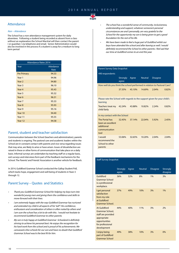

#### Non – Attendance

The School has a non-attendance management system for daily absentees. Following a student being recorded as absent from a class without an explanation the School Marshal will then contact the parent ( or guardian ) via telephone and email. Senior Administration would also be involved in the process if a student is away for a medium to long term period

| <b>Attendance Rates 2014</b> |           |  |  |
|------------------------------|-----------|--|--|
| Year                         | Attedance |  |  |
|                              | Rate      |  |  |
| <b>Pre Primary</b>           | 94.33     |  |  |
| Year 1                       | 94.96     |  |  |
| Year <sub>2</sub>            | 94.80     |  |  |
| Year <sub>3</sub>            | 96.10     |  |  |
| Year 4                       | 95.43     |  |  |
| Year 5                       | 95.32     |  |  |
| Year <sub>6</sub>            | 96.31     |  |  |
| Year 7                       | 95.33     |  |  |
| Year <sub>8</sub>            | 95.93     |  |  |
| Year 9                       | 95.16     |  |  |
| Year 10                      | 94.40     |  |  |
| Year 11                      | 95.55     |  |  |
| Year 12                      | 94.58     |  |  |

#### Parent, student and teacher satisfaction

Communication between the School (teachers and administration), parents and students is ongoing. The pastoral care and academic leaders within the School are in constant contact with parents and vice versa regarding issues that may arise, are likely to arise or have arisen. Issues of dissatisfaction are raised in these or other forms of communication that take place on a daily basis. Informal surveys are undertaken by teaching staff on a regular basis, exit surveys and interviews form part of the feedback mechanisms for the School. The Parents' and Friends' Association is another vehicle for feedback.

In 2014, Guildford Grammar School conducted the Gallop Student Poll, which tracks hope, engagement and well-being of students in Years 5 through 12.

# Parent Survey – Quotes and Statistics

- Thank you Guildford Grammar School for helping my boys turn into wonderful young men and giving them the confidence and skills to move forward with their lives.
- I am extremely happy with the way Guildford Grammar has nurtured and extended my child in all aspects of his "self". His confidence, enthusiasm and consideration of others is often noted by others and I am sure the school has a lot to do with this. I would not hesitate to recommend Guildford Grammar to other parents.
- My son is truly happy at Guildford Grammar Schooland is definitely striving to achieve his personal best. He enjoys the recognition for his hard work from the school and is proud of his achievements. We canvassed a few schools for our son and have no doubt that Guildford Grammar School was/is the best fit for him.
- Attendance *Attendance Attendance Attendance Attendance Attendance Attendance Attendance Attendance Attendance Attendance Attendance Attendance Attendance Attendance* understanding and support, whatever someone's personal circumstances are and I personally, am very grateful to the School for the opportunity my son is being given to get a good foundation for the rest of his life.
	- We have been made to feel a huge part of Guildford whilst our boys have attended the school and after leaving as well. I would definitely recommend the School to other parents. I feel sad that our time at Guildford comes to an end this year.

#### Parent Survey Data Snapshot

| 490 respondents                                                                       |                          |        |                |                 |       |
|---------------------------------------------------------------------------------------|--------------------------|--------|----------------|-----------------|-------|
|                                                                                       | <b>Strongly</b><br>agree | Agree  | <b>Neutral</b> | <b>Disagree</b> |       |
| How well do you think the school performed in relation to Pastoral Care?              |                          |        |                |                 |       |
|                                                                                       | 37.35%                   | 45.10% | 14.69%         | 2.04%           | 0.82% |
| Please rate the School with regards to the support given for your child's<br>learning |                          |        |                |                 |       |
| Teachers treat my<br>child fairly                                                     | 42.24%                   | 43.88% | 10.82%         | 2.24%           | 0.82% |
| In my contact with the School                                                         |                          |        |                |                 |       |
| The Portal has<br>been an excellent<br>additional<br>communication<br>tool            | 32.45%                   | 37.14% | 22.04%         | 5.92%           | 2.45% |
| I would<br>recommend the<br>School to other<br>parents                                | 53.06%                   | 32.65% | 10.20%         | 2.04%           | 2.04% |

#### Staff Survey Snapshot

|                                                                                                                          | <b>Strongly</b><br>agree | Agree | <b>Neutral</b> | <b>Disagree</b> | Strongly<br>disagree |
|--------------------------------------------------------------------------------------------------------------------------|--------------------------|-------|----------------|-----------------|----------------------|
| Guildford<br><b>Grammar School</b><br>is a professional<br>workplace.                                                    | 36%                      | 52%   | 8%             | 1%              | 3%                   |
| I get personal<br>satisfaction<br>from my role<br>at Guildford<br>Grammar School.                                        | 37%                      | 49%   | 10%            | 3%              | 1%                   |
| At Guildford<br>Grammar School,<br>staff are provided<br>appropriate<br>opportunities<br>for professional<br>development | 44%                      | 40%   | 11%            | 3%              | 2%                   |
| I enjoy being<br>part of Guildford<br><b>Grammar School</b>                                                              | 49%                      | 38%   | 10%            | 3%              | 0%                   |